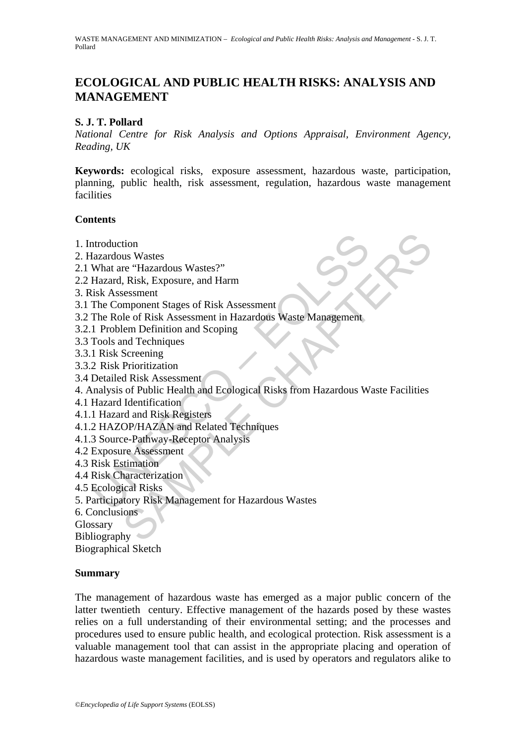# **ECOLOGICAL AND PUBLIC HEALTH RISKS: ANALYSIS AND MANAGEMENT**

## **S. J. T. Pollard**

*National Centre for Risk Analysis and Options Appraisal, Environment Agency, Reading, UK* 

**Keywords:** ecological risks, exposure assessment, hazardous waste, participation, planning, public health, risk assessment, regulation, hazardous waste management facilities

## **Contents**

- 1. Introduction
- 2. Hazardous Wastes
- 2.1 What are "Hazardous Wastes?"
- 2.2 Hazard, Risk, Exposure, and Harm
- 3. Risk Assessment
- 3.1 The Component Stages of Risk Assessment
- 3.2 The Role of Risk Assessment in Hazardous Waste Management
- 3.2.1 Problem Definition and Scoping
- 3.3 Tools and Techniques
- 3.3.1 Risk Screening
- 3.3.2 Risk Prioritization
- 3.4 Detailed Risk Assessment
- ntroduction<br>
Mazardous Wastes<br>
What are "Hazardous Wastes?"<br>
Hazard, Risk, Exposure, and Harm<br>
isk Assessment<br>
The Component Stages of Risk Assessment<br>
The Role of Risk Assessment in Hazardous Waste Management<br>
1 Problem D tion<br>
us Wastes<br>
re "Hazardous Wastes?"<br>
Risk, Exposure, and Harm<br>
Risk, Exposure, and Harm<br>
mponent Stages of Risk Assessment<br>
in Definition and Scoping<br>
and Techniques<br>
Screening<br>
Prioritization<br>
d Risk Assessment<br>
of Pu 4. Analysis of Public Health and Ecological Risks from Hazardous Waste Facilities
- 4.1 Hazard Identification
- 4.1.1 Hazard and Risk Registers
- 4.1.2 HAZOP/HAZAN and Related Techniques
- 4.1.3 Source-Pathway-Receptor Analysis
- 4.2 Exposure Assessment
- 4.3 Risk Estimation
- 4.4 Risk Characterization
- 4.5 Ecological Risks
- 5. Participatory Risk Management for Hazardous Wastes
- 6. Conclusions

Glossary

Bibliography

Biographical Sketch

### **Summary**

The management of hazardous waste has emerged as a major public concern of the latter twentieth century. Effective management of the hazards posed by these wastes relies on a full understanding of their environmental setting; and the processes and procedures used to ensure public health, and ecological protection. Risk assessment is a valuable management tool that can assist in the appropriate placing and operation of hazardous waste management facilities, and is used by operators and regulators alike to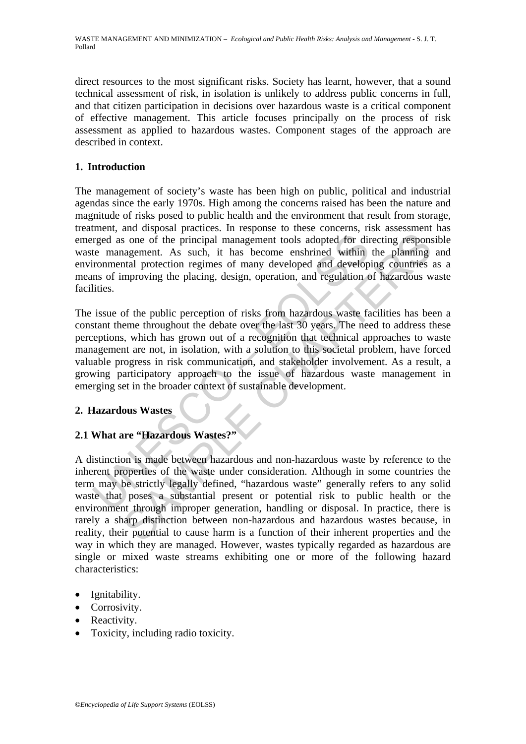direct resources to the most significant risks. Society has learnt, however, that a sound technical assessment of risk, in isolation is unlikely to address public concerns in full, and that citizen participation in decisions over hazardous waste is a critical component of effective management. This article focuses principally on the process of risk assessment as applied to hazardous wastes. Component stages of the approach are described in context.

# **1. Introduction**

The management of society's waste has been high on public, political and industrial agendas since the early 1970s. High among the concerns raised has been the nature and magnitude of risks posed to public health and the environment that result from storage, treatment, and disposal practices. In response to these concerns, risk assessment has emerged as one of the principal management tools adopted for directing responsible waste management. As such, it has become enshrined within the planning and environmental protection regimes of many developed and developing countries as a means of improving the placing, design, operation, and regulation of hazardous waste facilities.

rged as one of the principal management tools adopted for direction management. As such, it has become enshrined within ironmental protection regimes of many developed and developes and fevelopes and feveral protection reg The issue of the public perception of risks from hazardous waste facilities has been a constant theme throughout the debate over the last 30 years. The need to address these perceptions, which has grown out of a recognition that technical approaches to waste management are not, in isolation, with a solution to this societal problem, have forced valuable progress in risk communication, and stakeholder involvement. As a result, a growing participatory approach to the issue of hazardous waste management in emerging set in the broader context of sustainable development.

# **2. Hazardous Wastes**

# **2.1 What are "Hazardous Wastes?"**

some of the principal management tools adopted for directing responsingement. As such, it has become enshrined within the planning intal protection regimes of many developed and developing countries mproving the placing, d A distinction is made between hazardous and non-hazardous waste by reference to the inherent properties of the waste under consideration. Although in some countries the term may be strictly legally defined, "hazardous waste" generally refers to any solid waste that poses a substantial present or potential risk to public health or the environment through improper generation, handling or disposal. In practice, there is rarely a sharp distinction between non-hazardous and hazardous wastes because, in reality, their potential to cause harm is a function of their inherent properties and the way in which they are managed. However, wastes typically regarded as hazardous are single or mixed waste streams exhibiting one or more of the following hazard characteristics:

- Ignitability.
- Corrosivity.
- Reactivity.
- Toxicity, including radio toxicity.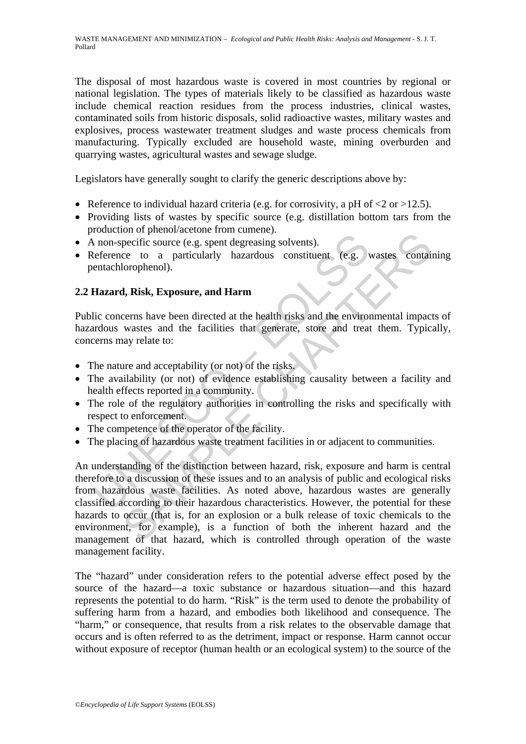The disposal of most hazardous waste is covered in most countries by regional or national legislation. The types of materials likely to be classified as hazardous waste include chemical reaction residues from the process industries, clinical wastes, contaminated soils from historic disposals, solid radioactive wastes, military wastes and explosives, process wastewater treatment sludges and waste process chemicals from manufacturing. Typically excluded are household waste, mining overburden and quarrying wastes, agricultural wastes and sewage sludge.

Legislators have generally sought to clarify the generic descriptions above by:

- Reference to individual hazard criteria (e.g. for corrosivity, a pH of  $\langle 2 \text{ or } >12.5 \rangle$ ).
- Providing lists of wastes by specific source (e.g. distillation bottom tars from the production of phenol/acetone from cumene).
- A non-specific source (e.g. spent degreasing solvents).
- Reference to a particularly hazardous constituent (e.g. wastes containing pentachlorophenol).

## **2.2 Hazard, Risk, Exposure, and Harm**

Public concerns have been directed at the health risks and the environmental impacts of hazardous wastes and the facilities that generate, store and treat them. Typically, concerns may relate to:

- The nature and acceptability (or not) of the risks.
- The availability (or not) of evidence establishing causality between a facility and health effects reported in a community.
- The role of the regulatory authorities in controlling the risks and specifically with respect to enforcement.
- The competence of the operator of the facility.
- The placing of hazardous waste treatment facilities in or adjacent to communities.

A non-specific source (e.g. spent degreasing solvents).<br>
A non-specific source (e.g. spent degreasing solvents).<br>
Meference to a particularly hazardous constituent (e.g. )<br>
entachlorophenol).<br> **Hazard, Risk, Exposure, and** Solonia Contact the method contact the predict seame of the method and the contact of the heat and the method of the method of the method of the method of the method of the results of the results of the results and the env An understanding of the distinction between hazard, risk, exposure and harm is central therefore to a discussion of these issues and to an analysis of public and ecological risks from hazardous waste facilities. As noted above, hazardous wastes are generally classified according to their hazardous characteristics. However, the potential for these hazards to occur (that is, for an explosion or a bulk release of toxic chemicals to the environment, for example), is a function of both the inherent hazard and the management of that hazard, which is controlled through operation of the waste management facility.

The "hazard" under consideration refers to the potential adverse effect posed by the source of the hazard—a toxic substance or hazardous situation—and this hazard represents the potential to do harm. "Risk" is the term used to denote the probability of suffering harm from a hazard, and embodies both likelihood and consequence. The "harm," or consequence, that results from a risk relates to the observable damage that occurs and is often referred to as the detriment, impact or response. Harm cannot occur without exposure of receptor (human health or an ecological system) to the source of the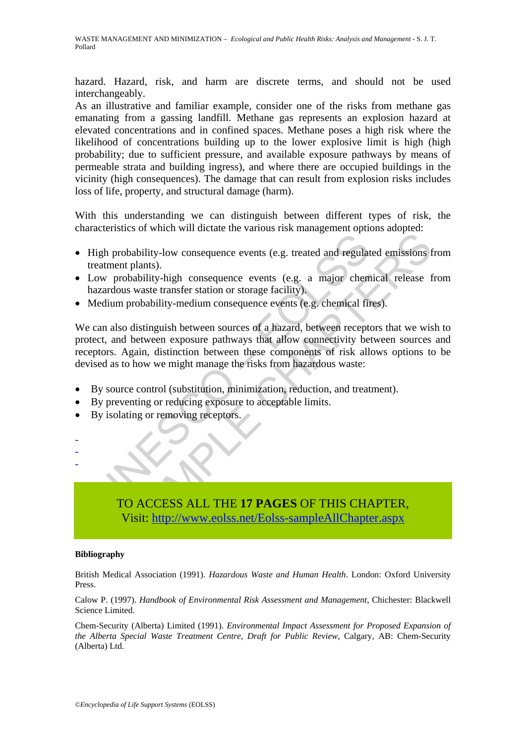hazard. Hazard, risk, and harm are discrete terms, and should not be used interchangeably.

As an illustrative and familiar example, consider one of the risks from methane gas emanating from a gassing landfill. Methane gas represents an explosion hazard at elevated concentrations and in confined spaces. Methane poses a high risk where the likelihood of concentrations building up to the lower explosive limit is high (high probability; due to sufficient pressure, and available exposure pathways by means of permeable strata and building ingress), and where there are occupied buildings in the vicinity (high consequences). The damage that can result from explosion risks includes loss of life, property, and structural damage (harm).

With this understanding we can distinguish between different types of risk, the characteristics of which will dictate the various risk management options adopted:

- High probability-low consequence events (e.g. treated and regulated emissions from treatment plants).
- Low probability-high consequence events (e.g. a major chemical release from hazardous waste transfer station or storage facility).
- Medium probability-medium consequence events (e.g. chemical fires).

The probability-low consequence events (e.g. treated and regulated meatment plants).<br>
Low probability-high consequence events (e.g. a major chem<br>
azardous waste transfer station or storage facility).<br>
Medium probability-me The absolution of the matter and the manufage of the matter and the plant<br>triplants).<br>The plants).<br>The consideration of storage facility),<br>any obtability-medium consequence events (e.g. chemical release that<br>we us waste tr We can also distinguish between sources of a hazard, between receptors that we wish to protect, and between exposure pathways that allow connectivity between sources and receptors. Again, distinction between these components of risk allows options to be devised as to how we might manage the risks from hazardous waste:

- By source control (substitution, minimization, reduction, and treatment).
- By preventing or reducing exposure to acceptable limits.
- By isolating or removing receptors.
- -

-

# TO ACCESS ALL THE **17 PAGES** OF THIS CHAPTER, Visit: http://www.eolss.net/Eolss-sampleAllChapter.aspx

#### **Bibliography**

British Medical Association (1991). *Hazardous Waste and Human Health*. London: Oxford University Press.

Calow P. (1997). *Handbook of Environmental Risk Assessment and Management*, Chichester: Blackwell Science Limited.

Chem-Security (Alberta) Limited (1991). *Environmental Impact Assessment for Proposed Expansion of the Alberta Special Waste Treatment Centre, Draft for Public Review*, Calgary, AB: Chem-Security (Alberta) Ltd.